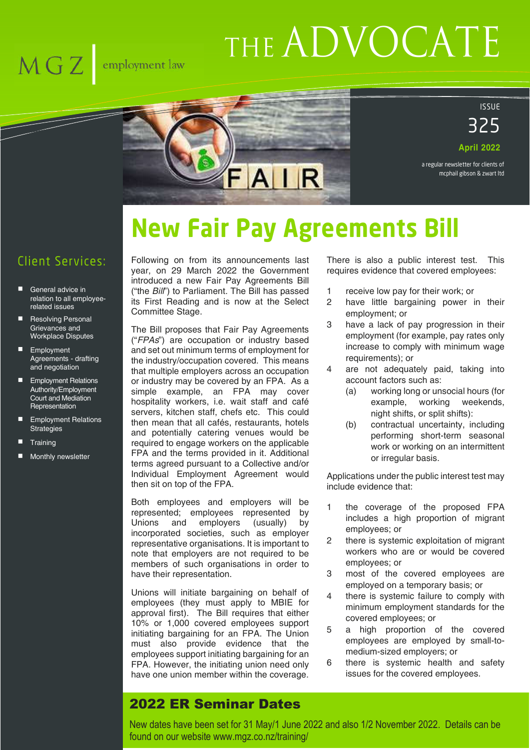## $\overline{\text{MGZ}}$  employment law

# THE ADVOCATE



#### ISSUE

325 **April 2022**

a regular newsletter for clients of mcphail gibson & zwart ltd

## **New Fair Pay Agreements Bill**

#### Client Services:

- General advice in relation to all employeerelated issues
- Resolving Personal Grievances and Workplace Disputes
- **Employment** Agreements - drafting and negotiation
- **Employment Relations** Authority/Employment Court and Mediation **Representation**
- **Employment Relations Strategies**
- **Training**
- Monthly newsletter

Following on from its announcements last year, on 29 March 2022 the Government introduced a new Fair Pay Agreements Bill ("the *Bill*") to Parliament. The Bill has passed its First Reading and is now at the Select Committee Stage.

The Bill proposes that Fair Pay Agreements ("*FPAs*") are occupation or industry based and set out minimum terms of employment for the industry/occupation covered. This means that multiple employers across an occupation or industry may be covered by an FPA. As a simple example, an FPA may cover hospitality workers, i.e. wait staff and café servers, kitchen staff, chefs etc. This could then mean that all cafés, restaurants, hotels and potentially catering venues would be required to engage workers on the applicable FPA and the terms provided in it. Additional terms agreed pursuant to a Collective and/or Individual Employment Agreement would then sit on top of the FPA.

Both employees and employers will be represented; employees represented by Unions and employers (usually) by incorporated societies, such as employer representative organisations. It is important to note that employers are not required to be members of such organisations in order to have their representation.

Unions will initiate bargaining on behalf of employees (they must apply to MBIE for approval first). The Bill requires that either 10% or 1,000 covered employees support initiating bargaining for an FPA. The Union must also provide evidence that the employees support initiating bargaining for an FPA. However, the initiating union need only have one union member within the coverage.

There is also a public interest test. This requires evidence that covered employees:

- 1 receive low pay for their work; or
- 2 have little bargaining power in their employment; or
- 3 have a lack of pay progression in their employment (for example, pay rates only increase to comply with minimum wage requirements); or
- 4 are not adequately paid, taking into account factors such as:
	- (a) working long or unsocial hours (for example, working weekends, night shifts, or split shifts):
	- (b) contractual uncertainty, including performing short-term seasonal work or working on an intermittent or irregular basis.

Applications under the public interest test may include evidence that:

- 1 the coverage of the proposed FPA includes a high proportion of migrant employees; or
- 2 there is systemic exploitation of migrant workers who are or would be covered employees; or
- 3 most of the covered employees are employed on a temporary basis; or
- 4 there is systemic failure to comply with minimum employment standards for the covered employees; or
- 5 a high proportion of the covered employees are employed by small-tomedium-sized employers; or
- 6 there is systemic health and safety issues for the covered employees.

#### 2022 ER Seminar Dates

New dates have been set for 31 May/1 June 2022 and also 1/2 November 2022. Details can be found on our website www.mgz.co.nz/training/